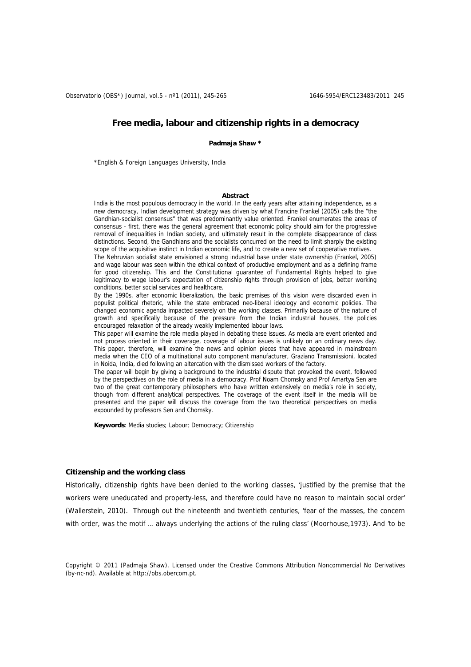Observatorio (OBS\*) Journal, vol.5 - nº1 (2011), 245-265 1646-5954/ERC123483/2011 245

# **Free media, labour and citizenship rights in a democracy**

**Padmaja Shaw \*** 

\*English & Foreign Languages University, India

#### **Abstract**

India is the most populous democracy in the world. In the early years after attaining independence, as a new democracy, Indian development strategy was driven by what Francine Frankel (2005) calls the "the Gandhian-socialist consensus" that was predominantly value oriented. Frankel enumerates the areas of consensus - first, there was the general agreement that economic policy should aim for the progressive removal of inequalities in Indian society, and ultimately result in the complete disappearance of class distinctions. Second, the Gandhians and the socialists concurred on the need to limit sharply the existing scope of the acquisitive instinct in Indian economic life, and to create a new set of cooperative motives.

The Nehruvian socialist state envisioned a strong industrial base under state ownership (Frankel, 2005) and wage labour was seen within the ethical context of productive employment and as a defining frame for good citizenship. This and the Constitutional guarantee of Fundamental Rights helped to give legitimacy to wage labour's expectation of citizenship rights through provision of jobs, better working conditions, better social services and healthcare.

By the 1990s, after economic liberalization, the basic premises of this vision were discarded even in populist political rhetoric, while the state embraced neo-liberal ideology and economic policies. The changed economic agenda impacted severely on the working classes. Primarily because of the nature of growth and specifically because of the pressure from the Indian industrial houses, the policies encouraged relaxation of the already weakly implemented labour laws.

This paper will examine the role media played in debating these issues. As media are event oriented and not process oriented in their coverage, coverage of labour issues is unlikely on an ordinary news day. This paper, therefore, will examine the news and opinion pieces that have appeared in mainstream media when the CEO of a multinational auto component manufacturer, Graziano Transmissioni, located in Noida, India, died following an altercation with the dismissed workers of the factory.

The paper will begin by giving a background to the industrial dispute that provoked the event, followed by the perspectives on the role of media in a democracy. Prof Noam Chomsky and Prof Amartya Sen are two of the great contemporary philosophers who have written extensively on media's role in society, though from different analytical perspectives. The coverage of the event itself in the media will be presented and the paper will discuss the coverage from the two theoretical perspectives on media expounded by professors Sen and Chomsky.

**Keywords**: Media studies; Labour; Democracy; Citizenship

# **Citizenship and the working class**

Historically, citizenship rights have been denied to the working classes, 'justified by the premise that the workers were uneducated and property-less, and therefore could have no reason to maintain social order' (Wallerstein, 2010). Through out the nineteenth and twentieth centuries, 'fear of the masses, the concern with order, was the motif … always underlying the actions of the ruling class' (Moorhouse,1973). And 'to be

Copyright © 2011 (Padmaja Shaw). Licensed under the Creative Commons Attribution Noncommercial No Derivatives (by-nc-nd). Available at http://obs.obercom.pt.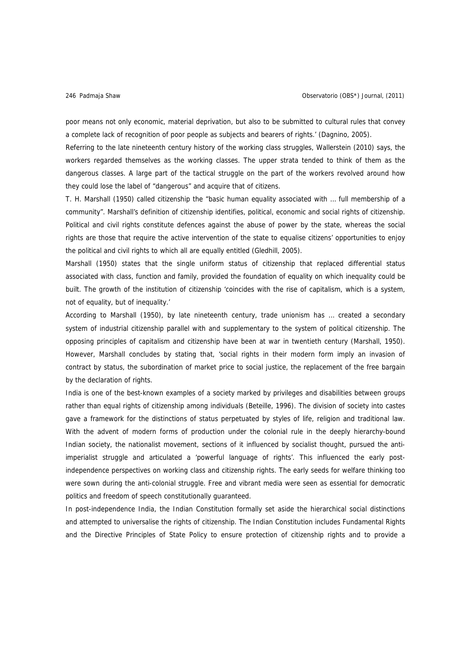poor means not only economic, material deprivation, but also to be submitted to cultural rules that convey a complete lack of recognition of poor people as subjects and bearers of rights.' (Dagnino, 2005).

Referring to the late nineteenth century history of the working class struggles, Wallerstein (2010) says, the workers regarded themselves as the working classes. The upper strata tended to think of them as the dangerous classes. A large part of the tactical struggle on the part of the workers revolved around how they could lose the label of "dangerous" and acquire that of citizens.

T. H. Marshall (1950) called citizenship the "basic human equality associated with … full membership of a community". Marshall's definition of citizenship identifies, political, economic and social rights of citizenship. Political and civil rights constitute defences against the abuse of power by the state, whereas the social rights are those that require the active intervention of the state to equalise citizens' opportunities to enjoy the political and civil rights to which all are equally entitled (Gledhill, 2005).

Marshall (1950) states that the single uniform status of citizenship that replaced differential status associated with class, function and family, provided the foundation of equality on which inequality could be built. The growth of the institution of citizenship 'coincides with the rise of capitalism, which is a system, not of equality, but of inequality.'

According to Marshall (1950), by late nineteenth century, trade unionism has … created a secondary system of industrial citizenship parallel with and supplementary to the system of political citizenship. The opposing principles of capitalism and citizenship have been at war in twentieth century (Marshall, 1950). However, Marshall concludes by stating that, 'social rights in their modern form imply an invasion of contract by status, the subordination of market price to social justice, the replacement of the free bargain by the declaration of rights.

India is one of the best-known examples of a society marked by privileges and disabilities between groups rather than equal rights of citizenship among individuals (Beteille, 1996). The division of society into castes gave a framework for the distinctions of status perpetuated by styles of life, religion and traditional law. With the advent of modern forms of production under the colonial rule in the deeply hierarchy-bound Indian society, the nationalist movement, sections of it influenced by socialist thought, pursued the antiimperialist struggle and articulated a 'powerful language of rights'. This influenced the early postindependence perspectives on working class and citizenship rights. The early seeds for welfare thinking too were sown during the anti-colonial struggle. Free and vibrant media were seen as essential for democratic politics and freedom of speech constitutionally guaranteed.

In post-independence India, the Indian Constitution formally set aside the hierarchical social distinctions and attempted to universalise the rights of citizenship. The Indian Constitution includes Fundamental Rights and the Directive Principles of State Policy to ensure protection of citizenship rights and to provide a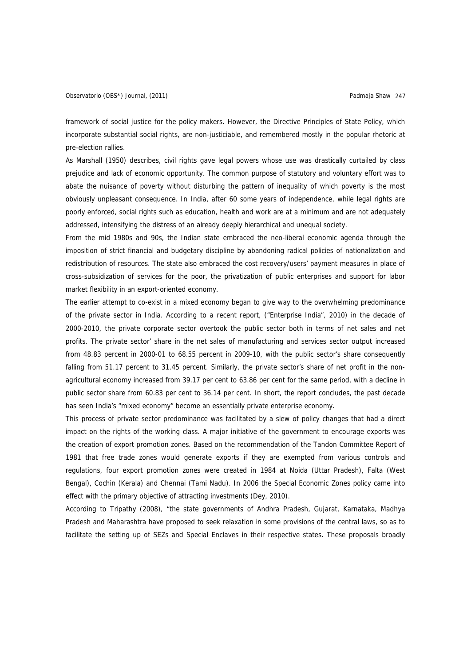framework of social justice for the policy makers. However, the Directive Principles of State Policy, which incorporate substantial social rights, are non-justiciable, and remembered mostly in the popular rhetoric at pre-election rallies.

As Marshall (1950) describes, civil rights gave legal powers whose use was drastically curtailed by class prejudice and lack of economic opportunity. The common purpose of statutory and voluntary effort was to abate the nuisance of poverty without disturbing the pattern of inequality of which poverty is the most obviously unpleasant consequence. In India, after 60 some years of independence, while legal rights are poorly enforced, social rights such as education, health and work are at a minimum and are not adequately addressed, intensifying the distress of an already deeply hierarchical and unequal society.

From the mid 1980s and 90s, the Indian state embraced the neo-liberal economic agenda through the imposition of strict financial and budgetary discipline by abandoning radical policies of nationalization and redistribution of resources. The state also embraced the cost recovery/users' payment measures in place of cross-subsidization of services for the poor, the privatization of public enterprises and support for labor market flexibility in an export-oriented economy.

The earlier attempt to co-exist in a mixed economy began to give way to the overwhelming predominance of the private sector in India. According to a recent report, ("Enterprise India", 2010) in the decade of 2000-2010, the private corporate sector overtook the public sector both in terms of net sales and net profits. The private sector' share in the net sales of manufacturing and services sector output increased from 48.83 percent in 2000-01 to 68.55 percent in 2009-10, with the public sector's share consequently falling from 51.17 percent to 31.45 percent. Similarly, the private sector's share of net profit in the nonagricultural economy increased from 39.17 per cent to 63.86 per cent for the same period, with a decline in public sector share from 60.83 per cent to 36.14 per cent. In short, the report concludes, the past decade has seen India's "mixed economy" become an essentially private enterprise economy.

This process of private sector predominance was facilitated by a slew of policy changes that had a direct impact on the rights of the working class. A major initiative of the government to encourage exports was the creation of export promotion zones. Based on the recommendation of the Tandon Committee Report of 1981 that free trade zones would generate exports if they are exempted from various controls and regulations, four export promotion zones were created in 1984 at Noida (Uttar Pradesh), Falta (West Bengal), Cochin (Kerala) and Chennai (Tami Nadu). In 2006 the Special Economic Zones policy came into effect with the primary objective of attracting investments (Dey, 2010).

According to Tripathy (2008), "the state governments of Andhra Pradesh, Gujarat, Karnataka, Madhya Pradesh and Maharashtra have proposed to seek relaxation in some provisions of the central laws, so as to facilitate the setting up of SEZs and Special Enclaves in their respective states. These proposals broadly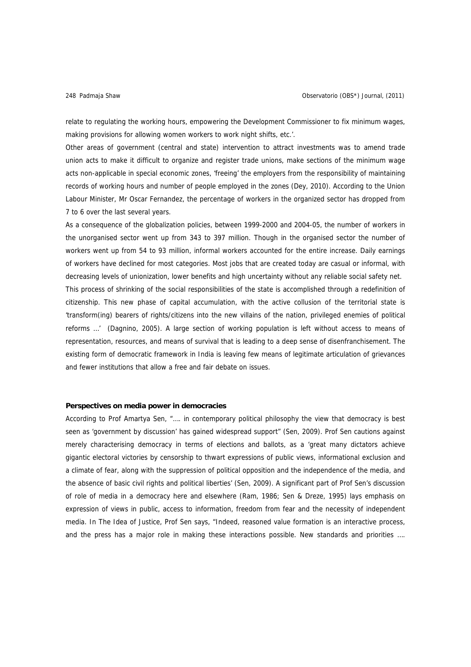relate to regulating the working hours, empowering the Development Commissioner to fix minimum wages, making provisions for allowing women workers to work night shifts, etc.'.

Other areas of government (central and state) intervention to attract investments was to amend trade union acts to make it difficult to organize and register trade unions, make sections of the minimum wage acts non-applicable in special economic zones, 'freeing' the employers from the responsibility of maintaining records of working hours and number of people employed in the zones (Dey, 2010). According to the Union Labour Minister, Mr Oscar Fernandez, the percentage of workers in the organized sector has dropped from 7 to 6 over the last several years.

As a consequence of the globalization policies, between 1999-2000 and 2004-05, the number of workers in the unorganised sector went up from 343 to 397 million. Though in the organised sector the number of workers went up from 54 to 93 million, informal workers accounted for the entire increase. Daily earnings of workers have declined for most categories. Most jobs that are created today are casual or informal, with decreasing levels of unionization, lower benefits and high uncertainty without any reliable social safety net. This process of shrinking of the social responsibilities of the state is accomplished through a redefinition of citizenship. This new phase of capital accumulation, with the active collusion of the territorial state is 'transform(ing) bearers of rights/citizens into the new villains of the nation, privileged enemies of political reforms …' (Dagnino, 2005). A large section of working population is left without access to means of representation, resources, and means of survival that is leading to a deep sense of disenfranchisement. The existing form of democratic framework in India is leaving few means of legitimate articulation of grievances and fewer institutions that allow a free and fair debate on issues.

# **Perspectives on media power in democracies**

According to Prof Amartya Sen, "…. in contemporary political philosophy the view that democracy is best seen as 'government by discussion' has gained widespread support" (Sen, 2009). Prof Sen cautions against merely characterising democracy in terms of elections and ballots, as a 'great many dictators achieve gigantic electoral victories by censorship to thwart expressions of public views, informational exclusion and a climate of fear, along with the suppression of political opposition and the independence of the media, and the absence of basic civil rights and political liberties' (Sen, 2009). A significant part of Prof Sen's discussion of role of media in a democracy here and elsewhere (Ram, 1986; Sen & Dreze, 1995) lays emphasis on expression of views in public, access to information, freedom from fear and the necessity of independent media. In The Idea of Justice, Prof Sen says, "Indeed, reasoned value formation is an interactive process, and the press has a major role in making these interactions possible. New standards and priorities ….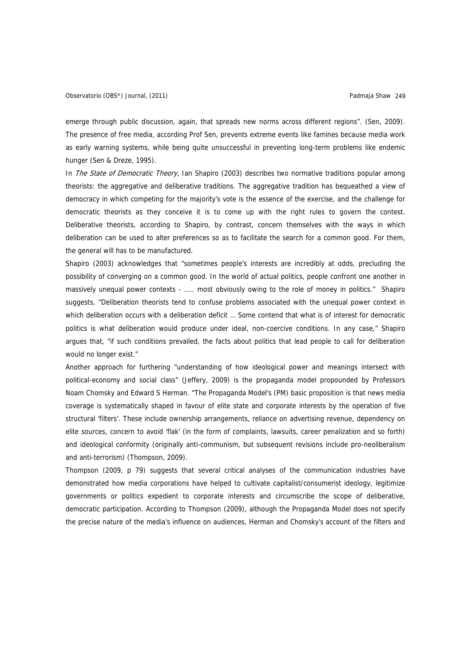emerge through public discussion, again, that spreads new norms across different regions". (Sen, 2009). The presence of free media, according Prof Sen, prevents extreme events like famines because media work as early warning systems, while being quite unsuccessful in preventing long-term problems like endemic hunger (Sen & Dreze, 1995).

In *The State of Democratic Theory*, Ian Shapiro (2003) describes two normative traditions popular among theorists: the aggregative and deliberative traditions. The aggregative tradition has bequeathed a view of democracy in which competing for the majority's vote is the essence of the exercise, and the challenge for democratic theorists as they conceive it is to come up with the right rules to govern the contest. Deliberative theorists, according to Shapiro, by contrast, concern themselves with the ways in which deliberation can be used to alter preferences so as to facilitate the search for a common good. For them, the general will has to be manufactured.

Shapiro (2003) acknowledges that "sometimes people's interests are incredibly at odds, precluding the possibility of converging on a common good. In the world of actual politics, people confront one another in massively unequal power contexts - ..... most obviously owing to the role of money in politics." Shapiro suggests, "Deliberation theorists tend to confuse problems associated with the unequal power context in which deliberation occurs with a deliberation deficit … Some contend that what is of interest for democratic politics is what deliberation would produce under ideal, non-coercive conditions. In any case," Shapiro argues that, "if such conditions prevailed, the facts about politics that lead people to call for deliberation would no longer exist."

Another approach for furthering "understanding of how ideological power and meanings intersect with political-economy and social class" (Jeffery, 2009) is the propaganda model propounded by Professors Noam Chomsky and Edward S Herman. "The Propaganda Model's (PM) basic proposition is that news media coverage is systematically shaped in favour of elite state and corporate interests by the operation of five structural 'filters'. These include ownership arrangements, reliance on advertising revenue, dependency on elite sources, concern to avoid 'flak' (in the form of complaints, lawsuits, career penalization and so forth) and ideological conformity (originally anti-communism, but subsequent revisions include pro-neoliberalism and anti-terrorism) (Thompson, 2009).

Thompson (2009, p 79) suggests that several critical analyses of the communication industries have demonstrated how media corporations have helped to cultivate capitalist/consumerist ideology, legitimize governments or politics expedient to corporate interests and circumscribe the scope of deliberative, democratic participation. According to Thompson (2009), although the Propaganda Model does not specify the precise nature of the media's influence on audiences, Herman and Chomsky's account of the filters and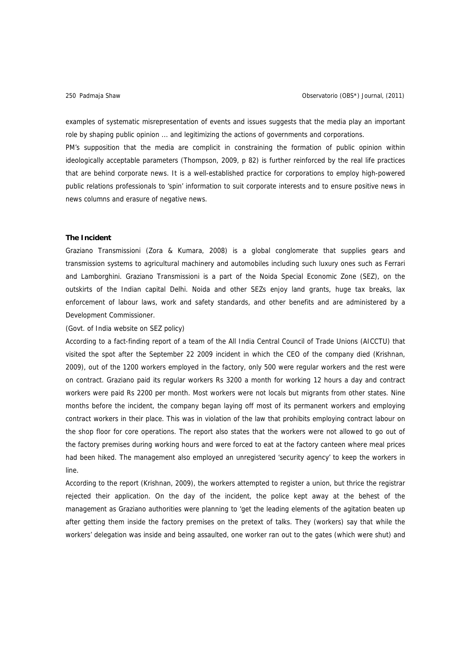examples of systematic misrepresentation of events and issues suggests that the media play an important role by shaping public opinion ... and legitimizing the actions of governments and corporations.

PM's supposition that the media are complicit in constraining the formation of public opinion within ideologically acceptable parameters (Thompson, 2009, p 82) is further reinforced by the real life practices that are behind corporate news. It is a well-established practice for corporations to employ high-powered public relations professionals to 'spin' information to suit corporate interests and to ensure positive news in news columns and erasure of negative news.

# **The Incident**

Graziano Transmissioni (Zora & Kumara, 2008) is a global conglomerate that supplies gears and transmission systems to agricultural machinery and automobiles including such luxury ones such as Ferrari and Lamborghini. Graziano Transmissioni is a part of the Noida Special Economic Zone (SEZ), on the outskirts of the Indian capital Delhi. Noida and other SEZs enjoy land grants, huge tax breaks, lax enforcement of labour laws, work and safety standards, and other benefits and are administered by a Development Commissioner.

## (Govt. of India website on SEZ policy)

According to a fact-finding report of a team of the All India Central Council of Trade Unions (AICCTU) that visited the spot after the September 22 2009 incident in which the CEO of the company died (Krishnan, 2009), out of the 1200 workers employed in the factory, only 500 were regular workers and the rest were on contract. Graziano paid its regular workers Rs 3200 a month for working 12 hours a day and contract workers were paid Rs 2200 per month. Most workers were not locals but migrants from other states. Nine months before the incident, the company began laying off most of its permanent workers and employing contract workers in their place. This was in violation of the law that prohibits employing contract labour on the shop floor for core operations. The report also states that the workers were not allowed to go out of the factory premises during working hours and were forced to eat at the factory canteen where meal prices had been hiked. The management also employed an unregistered 'security agency' to keep the workers in line.

According to the report (Krishnan, 2009), the workers attempted to register a union, but thrice the registrar rejected their application. On the day of the incident, the police kept away at the behest of the management as Graziano authorities were planning to 'get the leading elements of the agitation beaten up after getting them inside the factory premises on the pretext of talks. They (workers) say that while the workers' delegation was inside and being assaulted, one worker ran out to the gates (which were shut) and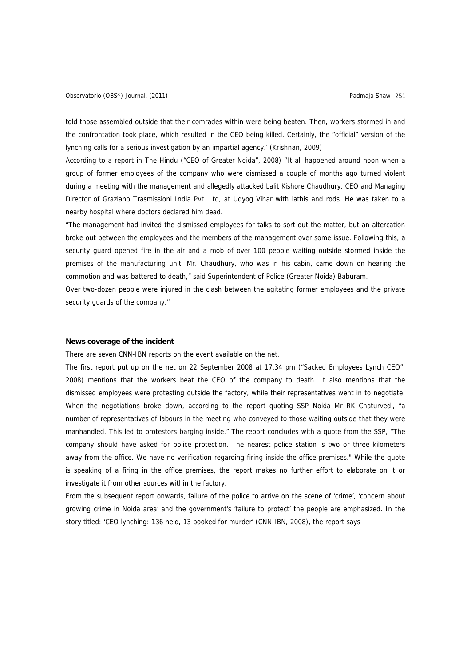Observatorio (OBS\*) Journal, (2011) Padmaja Shaw 251

told those assembled outside that their comrades within were being beaten. Then, workers stormed in and the confrontation took place, which resulted in the CEO being killed. Certainly, the "official" version of the lynching calls for a serious investigation by an impartial agency.' (Krishnan, 2009)

According to a report in The Hindu ("CEO of Greater Noida", 2008) "It all happened around noon when a group of former employees of the company who were dismissed a couple of months ago turned violent during a meeting with the management and allegedly attacked Lalit Kishore Chaudhury, CEO and Managing Director of Graziano Trasmissioni India Pvt. Ltd, at Udyog Vihar with lathis and rods. He was taken to a nearby hospital where doctors declared him dead.

"The management had invited the dismissed employees for talks to sort out the matter, but an altercation broke out between the employees and the members of the management over some issue. Following this, a security guard opened fire in the air and a mob of over 100 people waiting outside stormed inside the premises of the manufacturing unit. Mr. Chaudhury, who was in his cabin, came down on hearing the commotion and was battered to death," said Superintendent of Police (Greater Noida) Baburam.

Over two-dozen people were injured in the clash between the agitating former employees and the private security guards of the company."

#### **News coverage of the incident**

There are seven CNN-IBN reports on the event available on the net.

The first report put up on the net on 22 September 2008 at 17.34 pm ("Sacked Employees Lynch CEO", 2008) mentions that the workers beat the CEO of the company to death. It also mentions that the dismissed employees were protesting outside the factory, while their representatives went in to negotiate. When the negotiations broke down, according to the report quoting SSP Noida Mr RK Chaturvedi, "a number of representatives of labours in the meeting who conveyed to those waiting outside that they were manhandled. This led to protestors barging inside." The report concludes with a quote from the SSP, "The company should have asked for police protection. The nearest police station is two or three kilometers away from the office. We have no verification regarding firing inside the office premises." While the quote is speaking of a firing in the office premises, the report makes no further effort to elaborate on it or investigate it from other sources within the factory.

From the subsequent report onwards, failure of the police to arrive on the scene of 'crime', 'concern about growing crime in Noida area' and the government's 'failure to protect' the people are emphasized. In the story titled: 'CEO lynching: 136 held, 13 booked for murder' (CNN IBN, 2008), the report says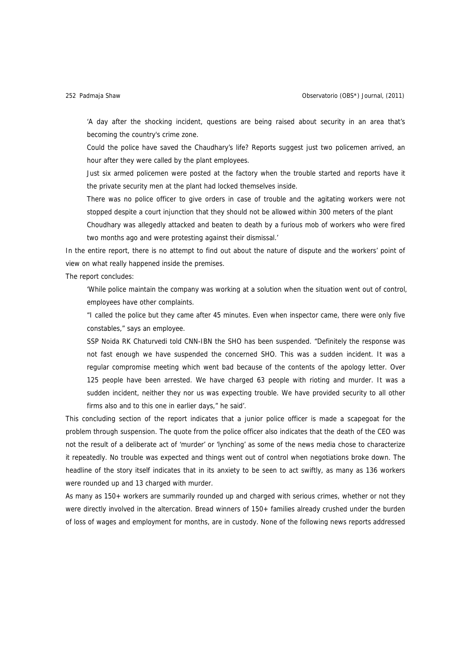'A day after the shocking incident, questions are being raised about security in an area that's becoming the country's crime zone.

Could the police have saved the Chaudhary's life? Reports suggest just two policemen arrived, an hour after they were called by the plant employees.

Just six armed policemen were posted at the factory when the trouble started and reports have it the private security men at the plant had locked themselves inside.

There was no police officer to give orders in case of trouble and the agitating workers were not stopped despite a court injunction that they should not be allowed within 300 meters of the plant

Choudhary was allegedly attacked and beaten to death by a furious mob of workers who were fired two months ago and were protesting against their dismissal.'

In the entire report, there is no attempt to find out about the nature of dispute and the workers' point of view on what really happened inside the premises.

The report concludes:

'While police maintain the company was working at a solution when the situation went out of control, employees have other complaints.

"I called the police but they came after 45 minutes. Even when inspector came, there were only five constables," says an employee.

SSP Noida RK Chaturvedi told CNN-IBN the SHO has been suspended. "Definitely the response was not fast enough we have suspended the concerned SHO. This was a sudden incident. It was a regular compromise meeting which went bad because of the contents of the apology letter. Over 125 people have been arrested. We have charged 63 people with rioting and murder. It was a sudden incident, neither they nor us was expecting trouble. We have provided security to all other firms also and to this one in earlier days," he said'.

This concluding section of the report indicates that a junior police officer is made a scapegoat for the problem through suspension. The quote from the police officer also indicates that the death of the CEO was not the result of a deliberate act of 'murder' or 'lynching' as some of the news media chose to characterize it repeatedly. No trouble was expected and things went out of control when negotiations broke down. The headline of the story itself indicates that in its anxiety to be seen to act swiftly, as many as 136 workers were rounded up and 13 charged with murder.

As many as 150+ workers are summarily rounded up and charged with serious crimes, whether or not they were directly involved in the altercation. Bread winners of 150+ families already crushed under the burden of loss of wages and employment for months, are in custody. None of the following news reports addressed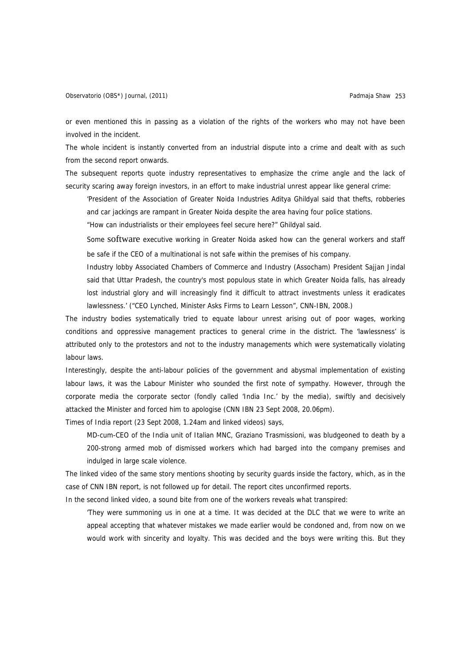or even mentioned this in passing as a violation of the rights of the workers who may not have been involved in the incident.

The whole incident is instantly converted from an industrial dispute into a crime and dealt with as such from the second report onwards.

The subsequent reports quote industry representatives to emphasize the crime angle and the lack of security scaring away foreign investors, in an effort to make industrial unrest appear like general crime:

'President of the Association of Greater Noida Industries Aditya Ghildyal said that thefts, robberies and car jackings are rampant in Greater Noida despite the area having four police stations.

"How can industrialists or their employees feel secure here?" Ghildyal said.

Some software executive working in Greater Noida asked how can the general workers and staff be safe if the CEO of a multinational is not safe within the premises of his company.

Industry lobby Associated Chambers of Commerce and Industry (Assocham) President Sajjan Jindal said that Uttar Pradesh, the country's most populous state in which Greater Noida falls, has already lost industrial glory and will increasingly find it difficult to attract investments unless it eradicates lawlessness.' ("CEO Lynched, Minister Asks Firms to Learn Lesson", CNN-IBN, 2008.)

The industry bodies systematically tried to equate labour unrest arising out of poor wages, working conditions and oppressive management practices to general crime in the district. The 'lawlessness' is attributed only to the protestors and not to the industry managements which were systematically violating labour laws.

Interestingly, despite the anti-labour policies of the government and abysmal implementation of existing labour laws, it was the Labour Minister who sounded the first note of sympathy. However, through the corporate media the corporate sector (fondly called 'India Inc.' by the media), swiftly and decisively attacked the Minister and forced him to apologise (CNN IBN 23 Sept 2008, 20.06pm).

Times of India report (23 Sept 2008, 1.24am and linked videos) says,

MD-cum-CEO of the India unit of Italian MNC, Graziano Trasmissioni, was bludgeoned to death by a 200-strong armed mob of dismissed workers which had barged into the company premises and indulged in large scale violence.

The linked video of the same story mentions shooting by security guards inside the factory, which, as in the case of CNN IBN report, is not followed up for detail. The report cites unconfirmed reports.

In the second linked video, a sound bite from one of the workers reveals what transpired:

'They were summoning us in one at a time. It was decided at the DLC that we were to write an appeal accepting that whatever mistakes we made earlier would be condoned and, from now on we would work with sincerity and loyalty. This was decided and the boys were writing this. But they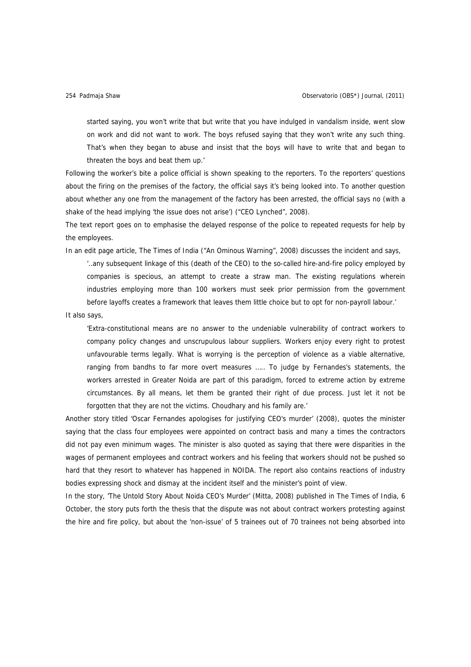started saying, you won't write that but write that you have indulged in vandalism inside, went slow on work and did not want to work. The boys refused saying that they won't write any such thing. That's when they began to abuse and insist that the boys will have to write that and began to threaten the boys and beat them up.'

Following the worker's bite a police official is shown speaking to the reporters. To the reporters' questions about the firing on the premises of the factory, the official says it's being looked into. To another question about whether any one from the management of the factory has been arrested, the official says no (with a shake of the head implying 'the issue does not arise') ("CEO Lynched", 2008).

The text report goes on to emphasise the delayed response of the police to repeated requests for help by the employees.

In an edit page article, The Times of India ("An Ominous Warning", 2008) discusses the incident and says,

'..any subsequent linkage of this (death of the CEO) to the so-called hire-and-fire policy employed by companies is specious, an attempt to create a straw man. The existing regulations wherein industries employing more than 100 workers must seek prior permission from the government before layoffs creates a framework that leaves them little choice but to opt for non-payroll labour.'

It also says,

'Extra-constitutional means are no answer to the undeniable vulnerability of contract workers to company policy changes and unscrupulous labour suppliers. Workers enjoy every right to protest unfavourable terms legally. What is worrying is the perception of violence as a viable alternative, ranging from bandhs to far more overt measures ….. To judge by Fernandes's statements, the workers arrested in Greater Noida are part of this paradigm, forced to extreme action by extreme circumstances. By all means, let them be granted their right of due process. Just let it not be forgotten that they are not the victims. Choudhary and his family are.'

Another story titled 'Oscar Fernandes apologises for justifying CEO's murder' (2008), quotes the minister saying that the class four employees were appointed on contract basis and many a times the contractors did not pay even minimum wages. The minister is also quoted as saying that there were disparities in the wages of permanent employees and contract workers and his feeling that workers should not be pushed so hard that they resort to whatever has happened in NOIDA. The report also contains reactions of industry bodies expressing shock and dismay at the incident itself and the minister's point of view.

In the story, 'The Untold Story About Noida CEO's Murder' (Mitta, 2008) published in The Times of India, 6 October, the story puts forth the thesis that the dispute was not about contract workers protesting against the hire and fire policy, but about the 'non-issue' of 5 trainees out of 70 trainees not being absorbed into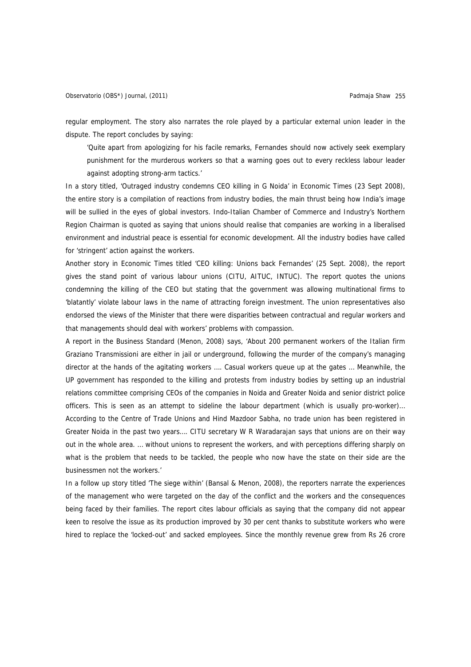regular employment. The story also narrates the role played by a particular external union leader in the dispute. The report concludes by saying:

'Quite apart from apologizing for his facile remarks, Fernandes should now actively seek exemplary punishment for the murderous workers so that a warning goes out to every reckless labour leader against adopting strong-arm tactics.'

In a story titled, 'Outraged industry condemns CEO killing in G Noida' in Economic Times (23 Sept 2008), the entire story is a compilation of reactions from industry bodies, the main thrust being how India's image will be sullied in the eyes of global investors. Indo-Italian Chamber of Commerce and Industry's Northern Region Chairman is quoted as saying that unions should realise that companies are working in a liberalised environment and industrial peace is essential for economic development. All the industry bodies have called for 'stringent' action against the workers.

Another story in Economic Times titled 'CEO killing: Unions back Fernandes' (25 Sept. 2008), the report gives the stand point of various labour unions (CITU, AITUC, INTUC). The report quotes the unions condemning the killing of the CEO but stating that the government was allowing multinational firms to 'blatantly' violate labour laws in the name of attracting foreign investment. The union representatives also endorsed the views of the Minister that there were disparities between contractual and regular workers and that managements should deal with workers' problems with compassion.

A report in the Business Standard (Menon, 2008) says, 'About 200 permanent workers of the Italian firm Graziano Transmissioni are either in jail or underground, following the murder of the company's managing director at the hands of the agitating workers …. Casual workers queue up at the gates … Meanwhile, the UP government has responded to the killing and protests from industry bodies by setting up an industrial relations committee comprising CEOs of the companies in Noida and Greater Noida and senior district police officers. This is seen as an attempt to sideline the labour department (which is usually pro-worker)… According to the Centre of Trade Unions and Hind Mazdoor Sabha, no trade union has been registered in Greater Noida in the past two years…. CITU secretary W R Waradarajan says that unions are on their way out in the whole area. … without unions to represent the workers, and with perceptions differing sharply on what is the problem that needs to be tackled, the people who now have the state on their side are the businessmen not the workers.'

In a follow up story titled 'The siege within' (Bansal & Menon, 2008), the reporters narrate the experiences of the management who were targeted on the day of the conflict and the workers and the consequences being faced by their families. The report cites labour officials as saying that the company did not appear keen to resolve the issue as its production improved by 30 per cent thanks to substitute workers who were hired to replace the 'locked-out' and sacked employees. Since the monthly revenue grew from Rs 26 crore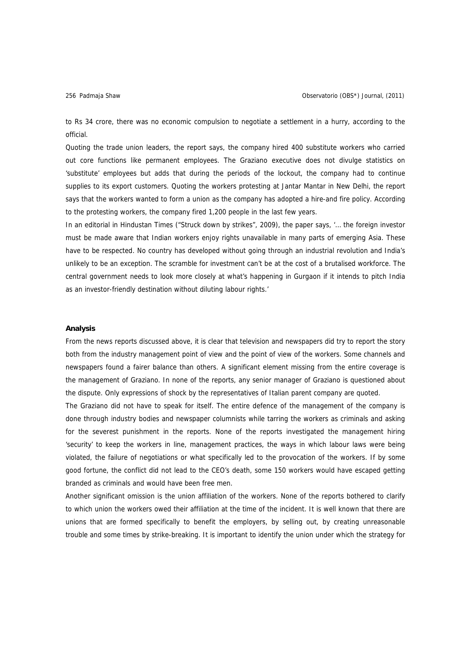to Rs 34 crore, there was no economic compulsion to negotiate a settlement in a hurry, according to the official.

Quoting the trade union leaders, the report says, the company hired 400 substitute workers who carried out core functions like permanent employees. The Graziano executive does not divulge statistics on 'substitute' employees but adds that during the periods of the lockout, the company had to continue supplies to its export customers. Quoting the workers protesting at Jantar Mantar in New Delhi, the report says that the workers wanted to form a union as the company has adopted a hire-and fire policy. According to the protesting workers, the company fired 1,200 people in the last few years.

In an editorial in Hindustan Times ("Struck down by strikes", 2009), the paper says, '… the foreign investor must be made aware that Indian workers enjoy rights unavailable in many parts of emerging Asia. These have to be respected. No country has developed without going through an industrial revolution and India's unlikely to be an exception. The scramble for investment can't be at the cost of a brutalised workforce. The central government needs to look more closely at what's happening in Gurgaon if it intends to pitch India as an investor-friendly destination without diluting labour rights.'

### **Analysis**

From the news reports discussed above, it is clear that television and newspapers did try to report the story both from the industry management point of view and the point of view of the workers. Some channels and newspapers found a fairer balance than others. A significant element missing from the entire coverage is the management of Graziano. In none of the reports, any senior manager of Graziano is questioned about the dispute. Only expressions of shock by the representatives of Italian parent company are quoted.

The Graziano did not have to speak for itself. The entire defence of the management of the company is done through industry bodies and newspaper columnists while tarring the workers as criminals and asking for the severest punishment in the reports. None of the reports investigated the management hiring 'security' to keep the workers in line, management practices, the ways in which labour laws were being violated, the failure of negotiations or what specifically led to the provocation of the workers. If by some good fortune, the conflict did not lead to the CEO's death, some 150 workers would have escaped getting branded as criminals and would have been free men.

Another significant omission is the union affiliation of the workers. None of the reports bothered to clarify to which union the workers owed their affiliation at the time of the incident. It is well known that there are unions that are formed specifically to benefit the employers, by selling out, by creating unreasonable trouble and some times by strike-breaking. It is important to identify the union under which the strategy for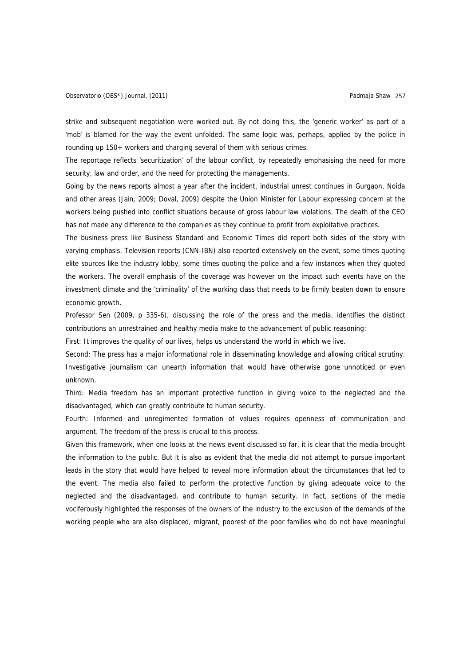strike and subsequent negotiation were worked out. By not doing this, the 'generic worker' as part of a 'mob' is blamed for the way the event unfolded. The same logic was, perhaps, applied by the police in rounding up 150+ workers and charging several of them with serious crimes.

The reportage reflects 'securitization' of the labour conflict, by repeatedly emphasising the need for more security, law and order, and the need for protecting the managements.

Going by the news reports almost a year after the incident, industrial unrest continues in Gurgaon, Noida and other areas (Jain, 2009; Doval, 2009) despite the Union Minister for Labour expressing concern at the workers being pushed into conflict situations because of gross labour law violations. The death of the CEO has not made any difference to the companies as they continue to profit from exploitative practices.

The business press like Business Standard and Economic Times did report both sides of the story with varying emphasis. Television reports (CNN-IBN) also reported extensively on the event, some times quoting elite sources like the industry lobby, some times quoting the police and a few instances when they quoted the workers. The overall emphasis of the coverage was however on the impact such events have on the investment climate and the 'criminality' of the working class that needs to be firmly beaten down to ensure economic growth.

Professor Sen (2009, p 335-6), discussing the role of the press and the media, identifies the distinct contributions an unrestrained and healthy media make to the advancement of public reasoning:

First: It improves the quality of our lives, helps us understand the world in which we live.

Second: The press has a major informational role in disseminating knowledge and allowing critical scrutiny. Investigative journalism can unearth information that would have otherwise gone unnoticed or even unknown.

Third: Media freedom has an important protective function in giving voice to the neglected and the disadvantaged, which can greatly contribute to human security.

Fourth: Informed and unregimented formation of values requires openness of communication and argument. The freedom of the press is crucial to this process.

Given this framework, when one looks at the news event discussed so far, it is clear that the media brought the information to the public. But it is also as evident that the media did not attempt to pursue important leads in the story that would have helped to reveal more information about the circumstances that led to the event. The media also failed to perform the protective function by giving adequate voice to the neglected and the disadvantaged, and contribute to human security. In fact, sections of the media vociferously highlighted the responses of the owners of the industry to the exclusion of the demands of the working people who are also displaced, migrant, poorest of the poor families who do not have meaningful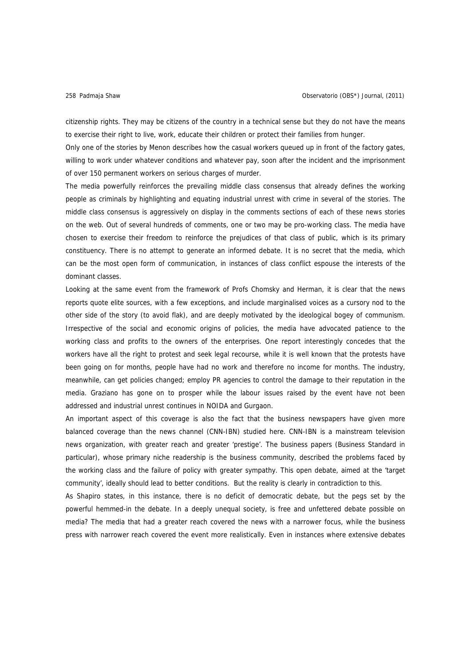citizenship rights. They may be citizens of the country in a technical sense but they do not have the means to exercise their right to live, work, educate their children or protect their families from hunger.

Only one of the stories by Menon describes how the casual workers queued up in front of the factory gates, willing to work under whatever conditions and whatever pay, soon after the incident and the imprisonment of over 150 permanent workers on serious charges of murder.

The media powerfully reinforces the prevailing middle class consensus that already defines the working people as criminals by highlighting and equating industrial unrest with crime in several of the stories. The middle class consensus is aggressively on display in the comments sections of each of these news stories on the web. Out of several hundreds of comments, one or two may be pro-working class. The media have chosen to exercise their freedom to reinforce the prejudices of that class of public, which is its primary constituency. There is no attempt to generate an informed debate. It is no secret that the media, which can be the most open form of communication, in instances of class conflict espouse the interests of the dominant classes.

Looking at the same event from the framework of Profs Chomsky and Herman, it is clear that the news reports quote elite sources, with a few exceptions, and include marginalised voices as a cursory nod to the other side of the story (to avoid flak), and are deeply motivated by the ideological bogey of communism. Irrespective of the social and economic origins of policies, the media have advocated patience to the working class and profits to the owners of the enterprises. One report interestingly concedes that the workers have all the right to protest and seek legal recourse, while it is well known that the protests have been going on for months, people have had no work and therefore no income for months. The industry, meanwhile, can get policies changed; employ PR agencies to control the damage to their reputation in the media. Graziano has gone on to prosper while the labour issues raised by the event have not been addressed and industrial unrest continues in NOIDA and Gurgaon.

An important aspect of this coverage is also the fact that the business newspapers have given more balanced coverage than the news channel (CNN-IBN) studied here. CNN-IBN is a mainstream television news organization, with greater reach and greater 'prestige'. The business papers (Business Standard in particular), whose primary niche readership is the business community, described the problems faced by the working class and the failure of policy with greater sympathy. This open debate, aimed at the 'target community', ideally should lead to better conditions. But the reality is clearly in contradiction to this.

As Shapiro states, in this instance, there is no deficit of democratic debate, but the pegs set by the powerful hemmed-in the debate. In a deeply unequal society, is free and unfettered debate possible on media? The media that had a greater reach covered the news with a narrower focus, while the business press with narrower reach covered the event more realistically. Even in instances where extensive debates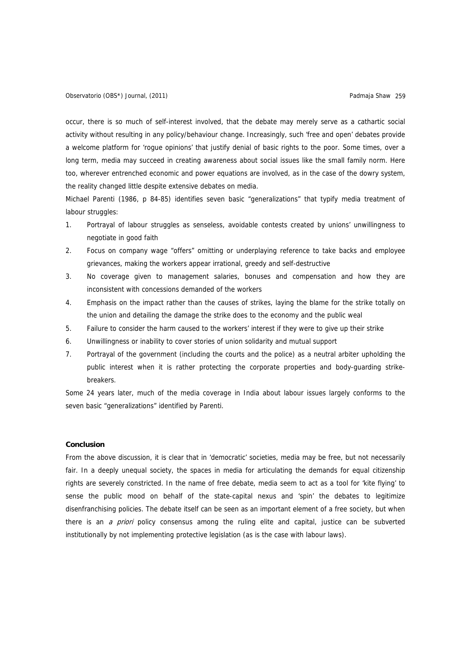occur, there is so much of self-interest involved, that the debate may merely serve as a cathartic social activity without resulting in any policy/behaviour change. Increasingly, such 'free and open' debates provide a welcome platform for 'rogue opinions' that justify denial of basic rights to the poor. Some times, over a long term, media may succeed in creating awareness about social issues like the small family norm. Here too, wherever entrenched economic and power equations are involved, as in the case of the dowry system, the reality changed little despite extensive debates on media.

Michael Parenti (1986, p 84-85) identifies seven basic "generalizations" that typify media treatment of labour struggles:

- 1. Portrayal of labour struggles as senseless, avoidable contests created by unions' unwillingness to negotiate in good faith
- 2. Focus on company wage "offers" omitting or underplaying reference to take backs and employee grievances, making the workers appear irrational, greedy and self-destructive
- 3. No coverage given to management salaries, bonuses and compensation and how they are inconsistent with concessions demanded of the workers
- 4. Emphasis on the impact rather than the causes of strikes, laying the blame for the strike totally on the union and detailing the damage the strike does to the economy and the public weal
- 5. Failure to consider the harm caused to the workers' interest if they were to give up their strike
- 6. Unwillingness or inability to cover stories of union solidarity and mutual support
- 7. Portrayal of the government (including the courts and the police) as a neutral arbiter upholding the public interest when it is rather protecting the corporate properties and body-guarding strikebreakers.

Some 24 years later, much of the media coverage in India about labour issues largely conforms to the seven basic "generalizations" identified by Parenti.

### **Conclusion**

From the above discussion, it is clear that in 'democratic' societies, media may be free, but not necessarily fair. In a deeply unequal society, the spaces in media for articulating the demands for equal citizenship rights are severely constricted. In the name of free debate, media seem to act as a tool for 'kite flying' to sense the public mood on behalf of the state-capital nexus and 'spin' the debates to legitimize disenfranchising policies. The debate itself can be seen as an important element of a free society, but when there is an *a priori* policy consensus among the ruling elite and capital, justice can be subverted institutionally by not implementing protective legislation (as is the case with labour laws).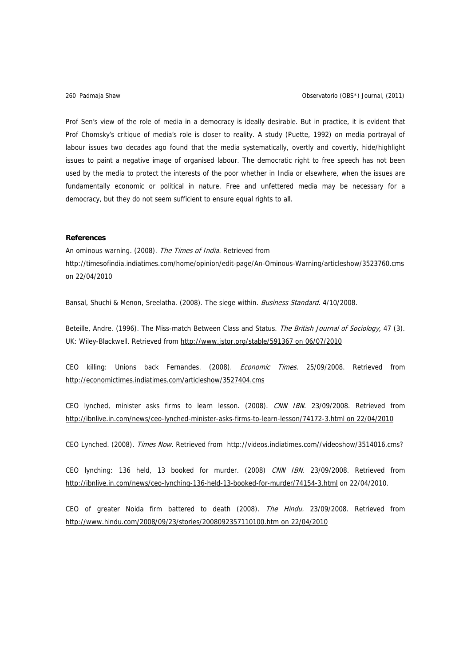Prof Sen's view of the role of media in a democracy is ideally desirable. But in practice, it is evident that Prof Chomsky's critique of media's role is closer to reality. A study (Puette, 1992) on media portrayal of labour issues two decades ago found that the media systematically, overtly and covertly, hide/highlight issues to paint a negative image of organised labour. The democratic right to free speech has not been used by the media to protect the interests of the poor whether in India or elsewhere, when the issues are fundamentally economic or political in nature. Free and unfettered media may be necessary for a democracy, but they do not seem sufficient to ensure equal rights to all.

# **References**

An ominous warning. (2008). The Times of India. Retrieved from <http://timesofindia.indiatimes.com/home/opinion/edit-page/An-Ominous-Warning/articleshow/3523760.cms> on 22/04/2010

Bansal, Shuchi & Menon, Sreelatha. (2008). The siege within. Business Standard. 4/10/2008.

Beteille, Andre. (1996). The Miss-match Between Class and Status. The British Journal of Sociology, 47 (3). UK: Wiley-Blackwell. Retrieved from [http://www.jstor.org/stable/591367 on 06/07/2010](http://www.jstor.org/stable/591367%20on%2006/07/2010)

CEO killing: Unions back Fernandes. (2008). Economic Times. 25/09/2008. Retrieved from <http://economictimes.indiatimes.com/articleshow/3527404.cms>

CEO lynched, minister asks firms to learn lesson. (2008). CNN IBN. 23/09/2008. Retrieved from [http://ibnlive.in.com/news/ceo-lynched-minister-asks-firms-to-learn-lesson/74172-3.html on 22/04/2010](http://ibnlive.in.com/news/ceo-lynched-minister-asks-firms-to-learn-lesson/74172-3.html%20on%2022/04/2010)

CEO Lynched. (2008). Times Now. Retrieved from [http://videos.indiatimes.com//videoshow/3514016.cms?](http://videos.indiatimes.com//videoshow/3514016.cms)

CEO lynching: 136 held, 13 booked for murder. (2008) CNN IBN. 23/09/2008. Retrieved from <http://ibnlive.in.com/news/ceo-lynching-136-held-13-booked-for-murder/74154-3.html>on 22/04/2010.

CEO of greater Noida firm battered to death (2008). The Hindu. 23/09/2008. Retrieved from [http://www.hindu.com/2008/09/23/stories/2008092357110100.htm on 22/04/2010](http://www.hindu.com/2008/09/23/stories/2008092357110100.htm%20on%2022/04/2010)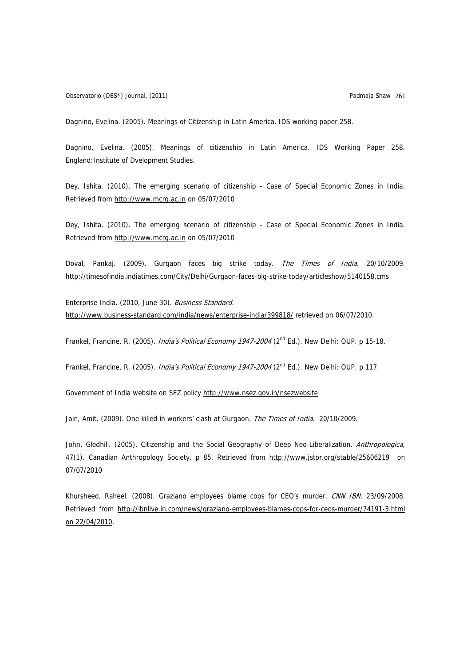Observatorio (OBS\*) Journal, (2011) Padmaja Shaw 261

Dagnino, Evelina. (2005). Meanings of Citizenship in Latin America. IDS working paper 258.

Dagnino, Evelina. (2005). Meanings of citizenship in Latin America. IDS Working Paper 258. England:Institute of Dvelopment Studies.

Dey, Ishita. (2010). The emerging scenario of citizenship - Case of Special Economic Zones in India. Retrieved from [http://www.mcrg.ac.in](http://www.mcrg.ac.in/) on 05/07/2010

Dey, Ishita. (2010). The emerging scenario of citizenship - Case of Special Economic Zones in India. Retrieved from [http://www.mcrg.ac.in](http://www.mcrg.ac.in/) on 05/07/2010

Doval, Pankaj. (2009). Gurgaon faces big strike today. The Times of India. 20/10/2009. <http://timesofindia.indiatimes.com/City/Delhi/Gurgaon-faces-big-strike-today/articleshow/5140158.cms>

Enterprise India. (2010, June 30). Business Standard. <http://www.business-standard.com/india/news/enterprise-india/399818/>retrieved on 06/07/2010.

Frankel, Francine, R. (2005). *India's Political Economy 1947-2004* (2<sup>nd</sup> Ed.). New Delhi: OUP. p 15-18.

Frankel, Francine, R. (2005). *India's Political Economy 1947-2004* (2<sup>nd</sup> Ed.). New Delhi: OUP. p 117.

Government of India website on SEZ policy<http://www.nsez.gov.in/nsezwebsite>

Jain, Amit. (2009). One killed in workers' clash at Gurgaon. The Times of India. 20/10/2009.

John, Gledhill. (2005). Citizenship and the Social Geography of Deep Neo-Liberalization. Anthropologica, 47(1). Canadian Anthropology Society. p 85. Retrieved from <http://www.jstor.org/stable/25606219>on 07/07/2010

Khursheed, Raheel. (2008). Graziano employees blame cops for CEO's murder. CNN IBN. 23/09/2008. Retrieved from [http://ibnlive.in.com/news/graziano-employees-blames-cops-for-ceos-murder/74191-3.html](http://ibnlive.in.com/news/graziano-employees-blames-cops-for-ceos-murder/74191-3.html%20on%2022/04/2010)  [on 22/04/2010.](http://ibnlive.in.com/news/graziano-employees-blames-cops-for-ceos-murder/74191-3.html%20on%2022/04/2010)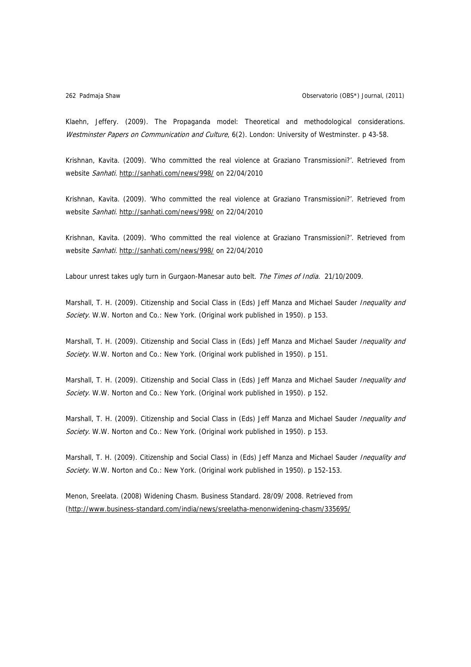Klaehn, Jeffery. (2009). The Propaganda model: Theoretical and methodological considerations. Westminster Papers on Communication and Culture, 6(2). London: University of Westminster. p 43-58.

Krishnan, Kavita. (2009). 'Who committed the real violence at Graziano Transmissioni?'. Retrieved from website Sanhati. <http://sanhati.com/news/998/>on 22/04/2010

Krishnan, Kavita. (2009). 'Who committed the real violence at Graziano Transmissioni?'. Retrieved from website Sanhati. <http://sanhati.com/news/998/>on 22/04/2010

Krishnan, Kavita. (2009). 'Who committed the real violence at Graziano Transmissioni?'. Retrieved from website Sanhati. <http://sanhati.com/news/998/>on 22/04/2010

Labour unrest takes ugly turn in Gurgaon-Manesar auto belt. The Times of India. 21/10/2009.

Marshall, T. H. (2009). Citizenship and Social Class in (Eds) Jeff Manza and Michael Sauder Inequality and Society. W.W. Norton and Co.: New York. (Original work published in 1950). p 153.

Marshall, T. H. (2009). Citizenship and Social Class in (Eds) Jeff Manza and Michael Sauder Inequality and Society. W.W. Norton and Co.: New York. (Original work published in 1950). p 151.

Marshall, T. H. (2009). Citizenship and Social Class in (Eds) Jeff Manza and Michael Sauder Inequality and Society. W.W. Norton and Co.: New York. (Original work published in 1950). p 152.

Marshall, T. H. (2009). Citizenship and Social Class in (Eds) Jeff Manza and Michael Sauder Inequality and Society. W.W. Norton and Co.: New York. (Original work published in 1950). p 153.

Marshall, T. H. (2009). Citizenship and Social Class) in (Eds) Jeff Manza and Michael Sauder *Inequality and* Society. W.W. Norton and Co.: New York. (Original work published in 1950). p 152-153.

Menon, Sreelata. (2008) Widening Chasm. Business Standard. 28/09/ 2008. Retrieved from [\(http://www.business-standard.com/india/news/sreelatha-menonwidening-chasm/335695/](http://www.business-standard.com/india/news/sreelatha-menonwidening-chasm/335695/)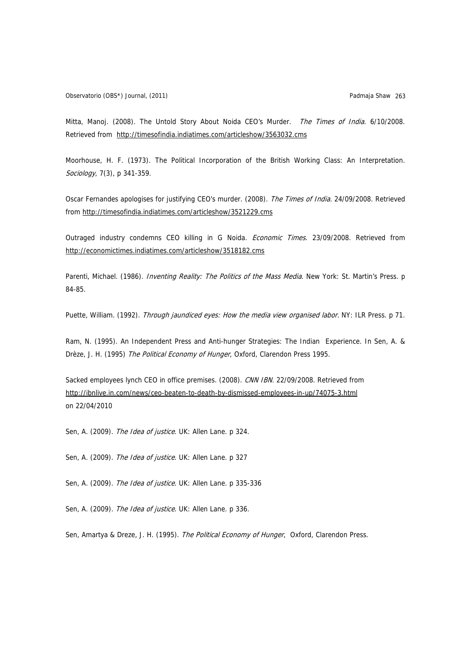Observatorio (OBS\*) Journal, (2011) Padmaja Shaw 263

Mitta, Manoj. (2008). The Untold Story About Noida CEO's Murder. The Times of India. 6/10/2008. Retrieved from <http://timesofindia.indiatimes.com/articleshow/3563032.cms>

Moorhouse, H. F. (1973). The Political Incorporation of the British Working Class: An Interpretation. Sociology, 7(3), p 341-359.

Oscar Fernandes apologises for justifying CEO's murder. (2008). The Times of India. 24/09/2008. Retrieved from<http://timesofindia.indiatimes.com/articleshow/3521229.cms>

Outraged industry condemns CEO killing in G Noida. *Economic Times*. 23/09/2008. Retrieved from <http://economictimes.indiatimes.com/articleshow/3518182.cms>

Parenti, Michael. (1986). Inventing Reality: The Politics of the Mass Media. New York: St. Martin's Press. p 84-85.

Puette, William. (1992). Through jaundiced eyes: How the media view organised labor. NY: ILR Press. p 71.

Ram, N. (1995). An Independent Press and Anti-hunger Strategies: The Indian Experience. In Sen, A. & Drèze, J. H. (1995) The Political Economy of Hunger, Oxford, Clarendon Press 1995.

Sacked employees lynch CEO in office premises. (2008). CNN IBN. 22/09/2008. Retrieved from <http://ibnlive.in.com/news/ceo-beaten-to-death-by-dismissed-employees-in-up/74075-3.html> on 22/04/2010

Sen, A. (2009). The Idea of justice. UK: Allen Lane. p 324.

Sen, A. (2009). The Idea of justice. UK: Allen Lane. p 327

Sen, A. (2009). The Idea of justice. UK: Allen Lane. p 335-336

Sen, A. (2009). The Idea of justice. UK: Allen Lane. p 336.

Sen, Amartya & Dreze, J. H. (1995). The Political Economy of Hunger, Oxford, Clarendon Press.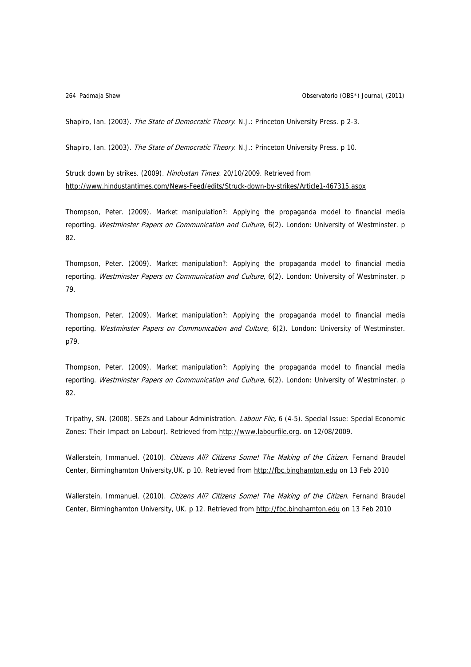Shapiro, Ian. (2003). The State of Democratic Theory. N.J.: Princeton University Press. p 2-3.

Shapiro, Ian. (2003). The State of Democratic Theory. N.J.: Princeton University Press. p 10.

Struck down by strikes. (2009). Hindustan Times. 20/10/2009. Retrieved from <http://www.hindustantimes.com/News-Feed/edits/Struck-down-by-strikes/Article1-467315.aspx>

Thompson, Peter. (2009). Market manipulation?: Applying the propaganda model to financial media reporting. Westminster Papers on Communication and Culture, 6(2). London: University of Westminster. p 82.

Thompson, Peter. (2009). Market manipulation?: Applying the propaganda model to financial media reporting. Westminster Papers on Communication and Culture, 6(2). London: University of Westminster. p 79.

Thompson, Peter. (2009). Market manipulation?: Applying the propaganda model to financial media reporting. Westminster Papers on Communication and Culture, 6(2). London: University of Westminster. p79.

Thompson, Peter. (2009). Market manipulation?: Applying the propaganda model to financial media reporting. Westminster Papers on Communication and Culture, 6(2). London: University of Westminster. p 82.

Tripathy, SN. (2008). SEZs and Labour Administration. Labour File, 6 (4-5). Special Issue: Special Economic Zones: Their Impact on Labour). Retrieved from [http://www.labourfile.org](http://www.labourfile.org/). on 12/08/2009.

Wallerstein, Immanuel. (2010). Citizens All? Citizens Some! The Making of the Citizen. Fernand Braudel Center, Birminghamton University,UK. p 10. Retrieved from [http://fbc.binghamton.edu](http://fbc.binghamton.edu/) on 13 Feb 2010

Wallerstein, Immanuel. (2010). Citizens All? Citizens Some! The Making of the Citizen. Fernand Braudel Center, Birminghamton University, UK. p 12. Retrieved from [http://fbc.binghamton.edu](http://fbc.binghamton.edu/) on 13 Feb 2010